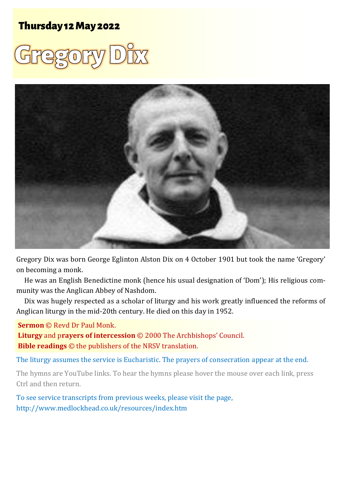# **Thursday 12 May 2022**





Gregory Dix was born George Eglinton Alston Dix on 4 October 1901 but took the name 'Gregory' on becoming a monk.

He was an English Benedictine monk (hence his usual designation of 'Dom'); His religious community was the Anglican Abbey of Nashdom.

Dix was hugely respected as a scholar of liturgy and his work greatly influenced the reforms of Anglican liturgy in the mid-20th century. He died on this day in 1952.

#### **Sermon** © Revd Dr Paul Monk.

**Liturgy** and p**rayers of intercession** © 2000 The Archbishops' Council. **Bible readings** © the publishers of the NRSV translation.

The liturgy assumes the service is Eucharistic. The prayers of consecration appear at the end.

The hymns are YouTube links. To hear the hymns please hover the mouse over each link, press Ctrl and then return.

To see service transcripts from previous weeks, please visit the page, <http://www.medlockhead.co.uk/resources/index.htm>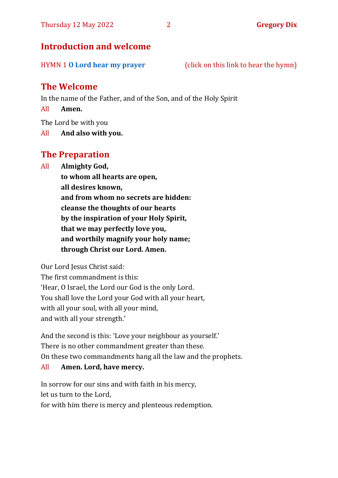## **Introduction and welcome**

HYMN 1 **[O Lord hear my prayer](https://www.youtube.com/watch?v=8BWKmahZgLM)** (click on this link to hear the hymn)

## **The Welcome**

In the name of the Father, and of the Son, and of the Holy Spirit

All **Amen.**

The Lord be with you

All **And also with you.**

## **The Preparation**

All **Almighty God,**

**to whom all hearts are open, all desires known, and from whom no secrets are hidden: cleanse the thoughts of our hearts by the inspiration of your Holy Spirit, that we may perfectly love you, and worthily magnify your holy name; through Christ our Lord. Amen.**

Our Lord Jesus Christ said:

The first commandment is this: 'Hear, O Israel, the Lord our God is the only Lord. You shall love the Lord your God with all your heart, with all your soul, with all your mind, and with all your strength.'

And the second is this: 'Love your neighbour as yourself.' There is no other commandment greater than these. On these two commandments hang all the law and the prophets.

#### All **Amen. Lord, have mercy.**

In sorrow for our sins and with faith in his mercy, let us turn to the Lord,

for with him there is mercy and plenteous redemption.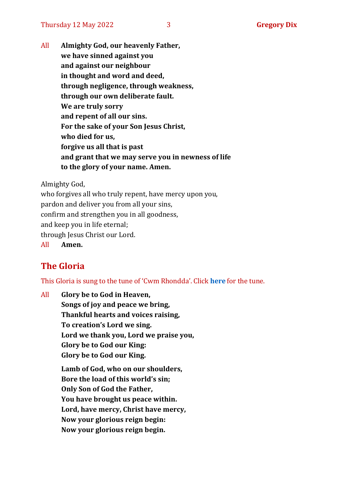All **Almighty God, our heavenly Father, we have sinned against you and against our neighbour in thought and word and deed, through negligence, through weakness, through our own deliberate fault. We are truly sorry and repent of all our sins. For the sake of your Son Jesus Christ, who died for us, forgive us all that is past and grant that we may serve you in newness of life to the glory of your name. Amen.**

Almighty God,

who forgives all who truly repent, have mercy upon you, pardon and deliver you from all your sins, confirm and strengthen you in all goodness, and keep you in life eternal; through Jesus Christ our Lord. All **Amen.**

# **The Gloria**

This Gloria is sung to the tune of 'Cwm Rhondda'. Click **[here](https://www.youtube.com/watch?v=l71MLQ22dIk)** for the tune.

All **Glory be to God in Heaven, Songs of joy and peace we bring, Thankful hearts and voices raising, To creation's Lord we sing. Lord we thank you, Lord we praise you, Glory be to God our King: Glory be to God our King. Lamb of God, who on our shoulders, Bore the load of this world's sin; Only Son of God the Father, You have brought us peace within.**

**Lord, have mercy, Christ have mercy,**

**Now your glorious reign begin:**

**Now your glorious reign begin.**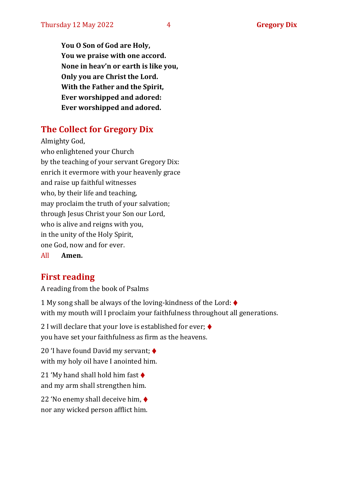**You O Son of God are Holy, You we praise with one accord. None in heav'n or earth is like you, Only you are Christ the Lord. With the Father and the Spirit, Ever worshipped and adored: Ever worshipped and adored.**

# **The Collect for Gregory Dix**

Almighty God, who enlightened your Church by the teaching of your servant Gregory Dix: enrich it evermore with your heavenly grace and raise up faithful witnesses who, by their life and teaching, may proclaim the truth of your salvation; through Jesus Christ your Son our Lord, who is alive and reigns with you, in the unity of the Holy Spirit, one God, now and for ever.

All **Amen.**

## **First reading**

A reading from the book of Psalms

1 My song shall be always of the loving-kindness of the Lord:  $\blacklozenge$ with my mouth will I proclaim your faithfulness throughout all generations.

2 I will declare that your love is established for ever:  $\blacklozenge$ you have set your faithfulness as firm as the heavens.

20 'I have found David my servant; ♦ with my holy oil have I anointed him.

21 'My hand shall hold him fast  $\blacklozenge$ and my arm shall strengthen him.

22 'No enemy shall deceive him, ♦ nor any wicked person afflict him.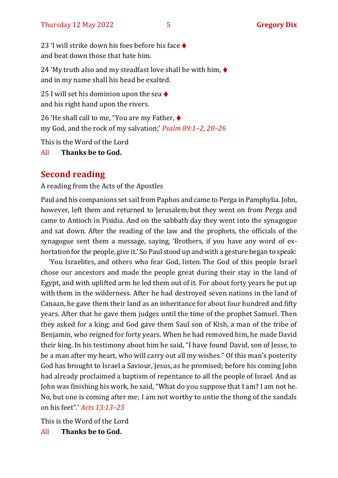23 'I will strike down his foes before his face ♦ and beat down those that hate him.

24 'My truth also and my steadfast love shall be with him,  $\blacklozenge$ and in my name shall his head be exalted.

25 I will set his dominion upon the sea  $\triangleleft$ and his right hand upon the rivers.

26 'He shall call to me, "You are my Father, ♦ my God, and the rock of my salvation;' *Psalm 89:1–2, 20–26*

This is the Word of the Lord

All **Thanks be to God.**

## **Second reading**

A reading from the Acts of the Apostles

Paul and his companions set sail from Paphos and came to Perga in Pamphylia. John, however, left them and returned to Jerusalem; but they went on from Perga and came to Antioch in Pisidia. And on the sabbath day they went into the synagogue and sat down. After the reading of the law and the prophets, the officials of the synagogue sent them a message, saying, 'Brothers, if you have any word of exhortation for the people, give it.' So Paul stood up and with a gesture began to speak:

'You Israelites, and others who fear God, listen. The God of this people Israel chose our ancestors and made the people great during their stay in the land of Egypt, and with uplifted arm he led them out of it. For about forty years he put up with them in the wilderness. After he had destroyed seven nations in the land of Canaan, he gave them their land as an inheritance for about four hundred and fifty years. After that he gave them judges until the time of the prophet Samuel. Then they asked for a king; and God gave them Saul son of Kish, a man of the tribe of Benjamin, who reigned for forty years. When he had removed him, he made David their king. In his testimony about him he said, "I have found David, son of Jesse, to be a man after my heart, who will carry out all my wishes." Of this man's posterity God has brought to Israel a Saviour, Jesus, as he promised; before his coming John had already proclaimed a baptism of repentance to all the people of Israel. And as John was finishing his work, he said, "What do you suppose that I am? I am not he. No, but one is coming after me; I am not worthy to untie the thong of the sandals on his feet".' *Acts 13:13–25*

This is the Word of the Lord

All **Thanks be to God.**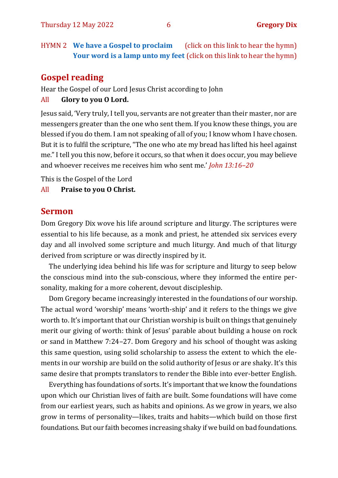HYMN 2 **We have a Gospel to proclaim** (click on this link to hear the hymn) **[Your word is a lamp unto my f](https://www.youtube.com/watch?v=E-SPYAgCtkw)[eet](https://www.youtube.com/watch?v=npWJZwgmKMo)** (click on this link to hear the hymn)

### **Gospel reading**

Hear the Gospel of our Lord Jesus Christ according to John

#### All **Glory to you O Lord.**

Jesus said, 'Very truly, I tell you, servants are not greater than their master, nor are messengers greater than the one who sent them. If you know these things, you are blessed if you do them. I am not speaking of all of you; I know whom I have chosen. But it is to fulfil the scripture, "The one who ate my bread has lifted his heel against me." I tell you this now, before it occurs, so that when it does occur, you may believe and whoever receives me receives him who sent me.' *John 13:16–20*

This is the Gospel of the Lord

#### All **Praise to you O Christ.**

#### **Sermon**

Dom Gregory Dix wove his life around scripture and liturgy. The scriptures were essential to his life because, as a monk and priest, he attended six services every day and all involved some scripture and much liturgy. And much of that liturgy derived from scripture or was directly inspired by it.

The underlying idea behind his life was for scripture and liturgy to seep below the conscious mind into the sub-conscious, where they informed the entire personality, making for a more coherent, devout discipleship.

Dom Gregory became increasingly interested in the foundations of our worship. The actual word 'worship' means 'worth-ship' and it refers to the things we give worth to. It's important that our Christian worship is built on things that genuinely merit our giving of worth: think of Jesus' parable about building a house on rock or sand in Matthew 7:24–27. Dom Gregory and his school of thought was asking this same question, using solid scholarship to assess the extent to which the elements in our worship are build on the solid authority of Jesus or are shaky. It's this same desire that prompts translators to render the Bible into ever-better English.

Everything has foundations of sorts. It's important that we know the foundations upon which our Christian lives of faith are built. Some foundations will have come from our earliest years, such as habits and opinions. As we grow in years, we also grow in terms of personality—likes, traits and habits—which build on those first foundations. But our faith becomes increasing shaky if we build on bad foundations.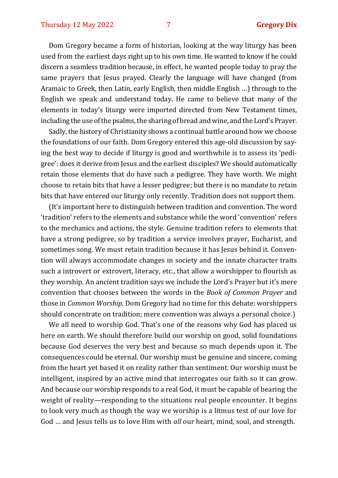Dom Gregory became a form of historian, looking at the way liturgy has been used from the earliest days right up to his own time. He wanted to know if he could discern a seamless tradition because, in effect, he wanted people today to pray the same prayers that Jesus prayed. Clearly the language will have changed (from Aramaic to Greek, then Latin, early English, then middle English …) through to the English we speak and understand today. He came to believe that many of the elements in today's liturgy were imported directed from New Testament times, including the use of the psalms, the sharing of bread and wine, and the Lord's Prayer.

Sadly, the history of Christianity shows a continual battle around how we choose the foundations of our faith. Dom Gregory entered this age-old discussion by saying the best way to decide if liturgy is good and worthwhile is to assess its 'pedigree': does it derive from Jesus and the earliest disciples? We should automatically retain those elements that do have such a pedigree. They have worth. We might choose to retain bits that have a lesser pedigree; but there is no mandate to retain bits that have entered our liturgy only recently. Tradition does not support them.

(It's important here to distinguish between tradition and convention. The word 'tradition' refers to the elements and substance while the word 'convention' refers to the mechanics and actions, the style. Genuine tradition refers to elements that have a strong pedigree, so by tradition a service involves prayer, Eucharist, and sometimes song. We must retain tradition because it has Jesus behind it. Convention will always accommodate changes in society and the innate character traits such a introvert or extrovert, literacy, etc., that allow a worshipper to flourish as they worship. An ancient tradition says we include the Lord's Prayer but it's mere convention that chooses between the words in the *Book of Common Prayer* and those in *Common Worship*. Dom Gregory had no time for this debate: worshippers should concentrate on tradition; mere convention was always a personal choice.)

We all need to worship God. That's one of the reasons why God has placed us here on earth. We should therefore build our worship on good, solid foundations because God deserves the very best and because so much depends upon it. The consequences could be eternal. Our worship must be genuine and sincere, coming from the heart yet based it on reality rather than sentiment. Our worship must be intelligent, inspired by an active mind that interrogates our faith so it can grow. And because our worship responds to a real God, it must be capable of bearing the weight of reality—responding to the situations real people encounter. It begins to look very much as though the way we worship is a litmus test of our love for God … and Jesus tells us to love Him with *all* our heart, mind, soul, and strength.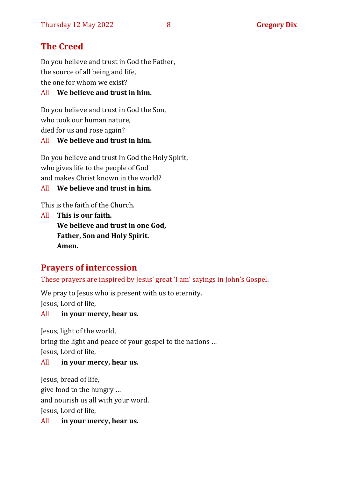# **The Creed**

Do you believe and trust in God the Father, the source of all being and life, the one for whom we exist?

#### All **We believe and trust in him.**

Do you believe and trust in God the Son, who took our human nature, died for us and rose again? All **We believe and trust in him.**

Do you believe and trust in God the Holy Spirit, who gives life to the people of God and makes Christ known in the world?

All **We believe and trust in him.**

This is the faith of the Church.

All **This is our faith. We believe and trust in one God, Father, Son and Holy Spirit. Amen.**

## **Prayers of intercession**

These prayers are inspired by Jesus' great 'I am' sayings in John's Gospel.

We pray to Jesus who is present with us to eternity. Jesus, Lord of life,

#### All **in your mercy, hear us.**

Jesus, light of the world, bring the light and peace of your gospel to the nations … Jesus, Lord of life,

#### All **in your mercy, hear us.**

Jesus, bread of life, give food to the hungry … and nourish us all with your word. Jesus, Lord of life,

All **in your mercy, hear us.**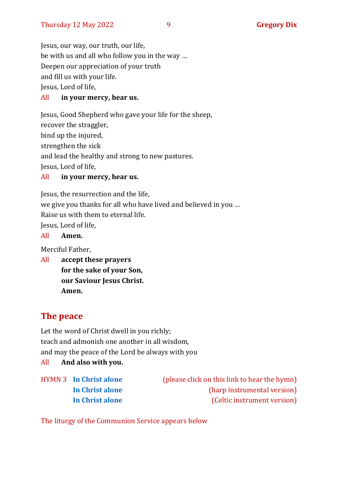Jesus, our way, our truth, our life, be with us and all who follow you in the way … Deepen our appreciation of your truth and fill us with your life. Jesus, Lord of life,

#### All **in your mercy, hear us.**

Jesus, Good Shepherd who gave your life for the sheep, recover the straggler, bind up the injured, strengthen the sick and lead the healthy and strong to new pastures. Jesus, Lord of life,

#### All **in your mercy, hear us.**

Jesus, the resurrection and the life, we give you thanks for all who have lived and believed in you … Raise us with them to eternal life. Jesus, Lord of life,

#### All **Amen.**

Merciful Father,

All **accept these prayers for the sake of your Son, our Saviour Jesus Christ. Amen.**

## **The peace**

Let the word of Christ dwell in you richly; teach and admonish one another in all wisdom, and may the peace of the Lord be always with you

All **And also with you.**

HYMN 3 **[In Christ alone](https://www.youtube.com/watch?v=8kvFtXphmMU)** (please click on this link to hear the hymn) **[In Christ alone](https://www.youtube.com/watch?v=GKWrY6daXNw)** (harp instrumental version) **[In Christ alone](https://www.youtube.com/watch?v=nXjORYEiHuc)** (Celtic instrument version)

The liturgy of the Communion Service appears below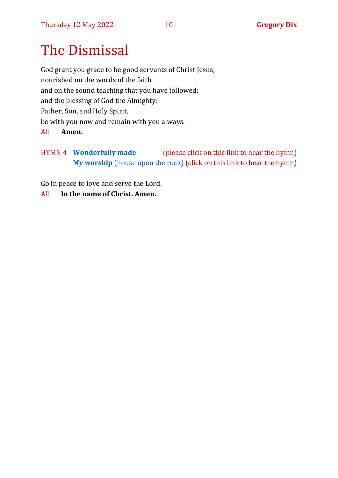# The Dismissal

God grant you grace to be good servants of Christ Jesus, nourished on the words of the faith and on the sound teaching that you have followed; and the blessing of God the Almighty: Father, Son, and Holy Spirit, be with you now and remain with you always.

#### All **Amen.**

HYMN 4 **[Wonderfully made](https://www.youtube.com/watch?v=mhCEM9LzPv0)** (please click on this link to hear the hymn) **My worship** [\(house upon the rock\)](https://www.youtube.com/watch?v=tx0ya8Xvs0s) (click on this link to hear the hymn)

Go in peace to love and serve the Lord.

#### All **In the name of Christ. Amen.**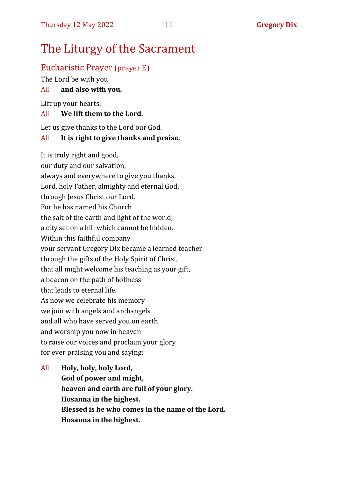# The Liturgy of the Sacrament

## Eucharistic Prayer (prayer E)

The Lord be with you

## All **and also with you.**

Lift up your hearts.

## All **We lift them to the Lord.**

Let us give thanks to the Lord our God.

## All **It is right to give thanks and praise.**

It is truly right and good, our duty and our salvation, always and everywhere to give you thanks, Lord, holy Father, almighty and eternal God, through Jesus Christ our Lord. For he has named his Church the salt of the earth and light of the world; a city set on a hill which cannot be hidden. Within this faithful company your servant Gregory Dix became a learned teacher through the gifts of the Holy Spirit of Christ, that all might welcome his teaching as your gift, a beacon on the path of holiness that leads to eternal life. As now we celebrate his memory we join with angels and archangels and all who have served you on earth and worship you now in heaven to raise our voices and proclaim your glory for ever praising you and saying:

## All **Holy, holy, holy Lord, God of power and might, heaven and earth are full of your glory. Hosanna in the highest. Blessed is he who comes in the name of the Lord. Hosanna in the highest.**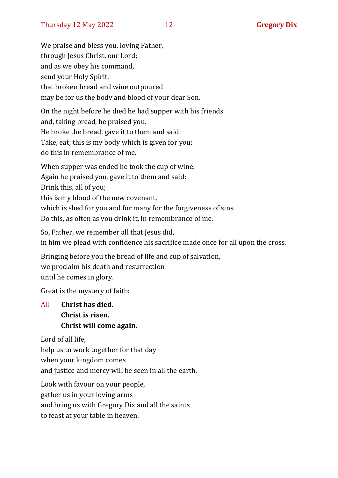We praise and bless you, loving Father, through Jesus Christ, our Lord; and as we obey his command, send your Holy Spirit, that broken bread and wine outpoured may be for us the body and blood of your dear Son.

On the night before he died he had supper with his friends and, taking bread, he praised you. He broke the bread, gave it to them and said: Take, eat; this is my body which is given for you; do this in remembrance of me.

When supper was ended he took the cup of wine. Again he praised you, gave it to them and said: Drink this, all of you; this is my blood of the new covenant, which is shed for you and for many for the forgiveness of sins. Do this, as often as you drink it, in remembrance of me.

So, Father, we remember all that Jesus did, in him we plead with confidence his sacrifice made once for all upon the cross.

Bringing before you the bread of life and cup of salvation, we proclaim his death and resurrection until he comes in glory.

Great is the mystery of faith:

## All **Christ has died. Christ is risen. Christ will come again.**

Lord of all life,

help us to work together for that day

when your kingdom comes

and justice and mercy will be seen in all the earth.

Look with favour on your people, gather us in your loving arms

and bring us with Gregory Dix and all the saints

to feast at your table in heaven.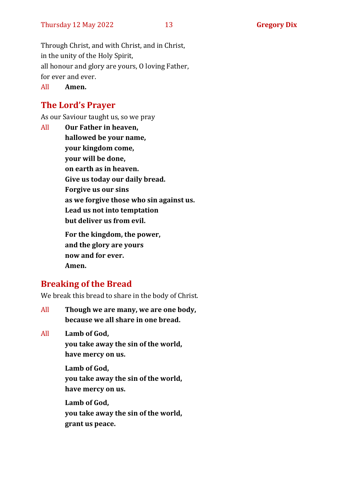Through Christ, and with Christ, and in Christ, in the unity of the Holy Spirit, all honour and glory are yours, O loving Father, for ever and ever.

All **Amen.**

## **The Lord's Prayer**

As our Saviour taught us, so we pray

All **Our Father in heaven, hallowed be your name, your kingdom come, your will be done, on earth as in heaven. Give us today our daily bread. Forgive us our sins as we forgive those who sin against us. Lead us not into temptation but deliver us from evil. For the kingdom, the power, and the glory are yours now and for ever. Amen.**

## **Breaking of the Bread**

We break this bread to share in the body of Christ.

All **Though we are many, we are one body, because we all share in one bread.**

All **Lamb of God,**

**you take away the sin of the world, have mercy on us.**

**Lamb of God, you take away the sin of the world, have mercy on us.**

**Lamb of God, you take away the sin of the world, grant us peace.**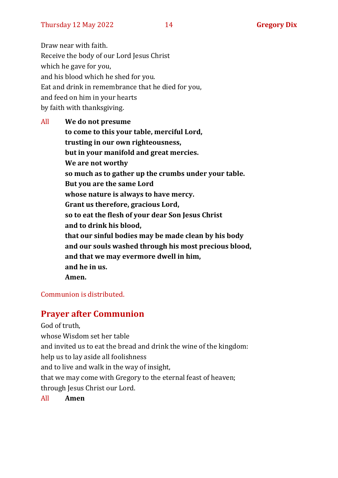Draw near with faith. Receive the body of our Lord Jesus Christ which he gave for you, and his blood which he shed for you. Eat and drink in remembrance that he died for you, and feed on him in your hearts by faith with thanksgiving.

All **We do not presume to come to this your table, merciful Lord, trusting in our own righteousness, but in your manifold and great mercies. We are not worthy so much as to gather up the crumbs under your table. But you are the same Lord whose nature is always to have mercy. Grant us therefore, gracious Lord, so to eat the flesh of your dear Son Jesus Christ and to drink his blood, that our sinful bodies may be made clean by his body and our souls washed through his most precious blood, and that we may evermore dwell in him, and he in us. Amen.**

#### Communion is distributed.

## **Prayer after Communion**

God of truth,

whose Wisdom set her table and invited us to eat the bread and drink the wine of the kingdom: help us to lay aside all foolishness and to live and walk in the way of insight, that we may come with Gregory to the eternal feast of heaven; through Jesus Christ our Lord.

All **Amen**